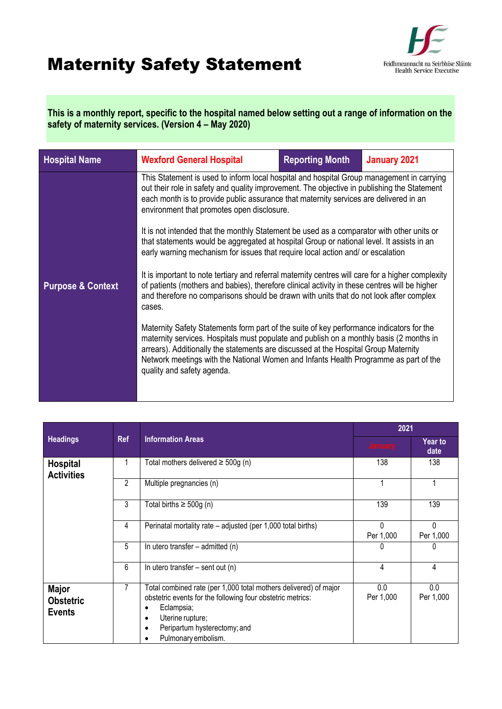## Maternity Safety Statement



**This is a monthly report, specific to the hospital named below setting out a range of information on the safety of maternity services. (Version 4 – May 2020)**

| <b>Hospital Name</b>                                                                                                                                                                                                                                                                                                                   | <b>Wexford General Hospital</b>                                                                                                                                                                                                                                                                                                                                                                  | <b>Reporting Month</b>                                                                                                                                                                                                                                                    | January 2021 |  |
|----------------------------------------------------------------------------------------------------------------------------------------------------------------------------------------------------------------------------------------------------------------------------------------------------------------------------------------|--------------------------------------------------------------------------------------------------------------------------------------------------------------------------------------------------------------------------------------------------------------------------------------------------------------------------------------------------------------------------------------------------|---------------------------------------------------------------------------------------------------------------------------------------------------------------------------------------------------------------------------------------------------------------------------|--------------|--|
|                                                                                                                                                                                                                                                                                                                                        | This Statement is used to inform local hospital and hospital Group management in carrying<br>out their role in safety and quality improvement. The objective in publishing the Statement<br>each month is to provide public assurance that maternity services are delivered in an<br>environment that promotes open disclosure.                                                                  |                                                                                                                                                                                                                                                                           |              |  |
|                                                                                                                                                                                                                                                                                                                                        |                                                                                                                                                                                                                                                                                                                                                                                                  | It is not intended that the monthly Statement be used as a comparator with other units or<br>that statements would be aggregated at hospital Group or national level. It assists in an<br>early warning mechanism for issues that require local action and/ or escalation |              |  |
| It is important to note tertiary and referral maternity centres will care for a higher complexity<br>of patients (mothers and babies), therefore clinical activity in these centres will be higher<br><b>Purpose &amp; Context</b><br>and therefore no comparisons should be drawn with units that do not look after complex<br>cases. |                                                                                                                                                                                                                                                                                                                                                                                                  |                                                                                                                                                                                                                                                                           |              |  |
|                                                                                                                                                                                                                                                                                                                                        | Maternity Safety Statements form part of the suite of key performance indicators for the<br>maternity services. Hospitals must populate and publish on a monthly basis (2 months in<br>arrears). Additionally the statements are discussed at the Hospital Group Maternity<br>Network meetings with the National Women and Infants Health Programme as part of the<br>quality and safety agenda. |                                                                                                                                                                                                                                                                           |              |  |
|                                                                                                                                                                                                                                                                                                                                        |                                                                                                                                                                                                                                                                                                                                                                                                  |                                                                                                                                                                                                                                                                           |              |  |

|                                                   | <b>Ref</b> | <b>Information Areas</b>                                                                                                                                                                                                                       | 2021                  |                        |
|---------------------------------------------------|------------|------------------------------------------------------------------------------------------------------------------------------------------------------------------------------------------------------------------------------------------------|-----------------------|------------------------|
| <b>Headings</b>                                   |            |                                                                                                                                                                                                                                                | <b>January</b>        | <b>Year to</b><br>date |
| <b>Hospital</b><br><b>Activities</b>              |            | Total mothers delivered $\geq$ 500g (n)                                                                                                                                                                                                        | 138                   | 138                    |
|                                                   | 2          | Multiple pregnancies (n)                                                                                                                                                                                                                       |                       |                        |
|                                                   | 3          | Total births $\geq 500g$ (n)                                                                                                                                                                                                                   | 139                   | 139                    |
|                                                   | 4          | Perinatal mortality rate - adjusted (per 1,000 total births)                                                                                                                                                                                   | $\Omega$<br>Per 1,000 | $\Omega$<br>Per 1,000  |
|                                                   | 5          | In utero transfer $-$ admitted (n)                                                                                                                                                                                                             |                       | 0                      |
|                                                   | 6          | In utero transfer $-$ sent out (n)                                                                                                                                                                                                             | 4                     | 4                      |
| <b>Major</b><br><b>Obstetric</b><br><b>Events</b> |            | Total combined rate (per 1,000 total mothers delivered) of major<br>obstetric events for the following four obstetric metrics:<br>Eclampsia;<br>Uterine rupture;<br>$\bullet$<br>Peripartum hysterectomy; and<br>٠<br>Pulmonary embolism.<br>٠ | 0.0<br>Per 1,000      | 0.0<br>Per 1,000       |